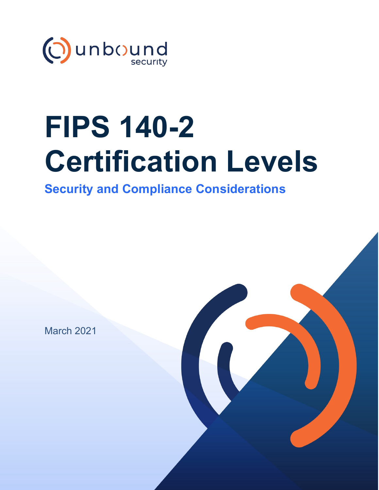

# **FIPS 140-2 Certification Levels**

**Security and Compliance Considerations**

March 2021

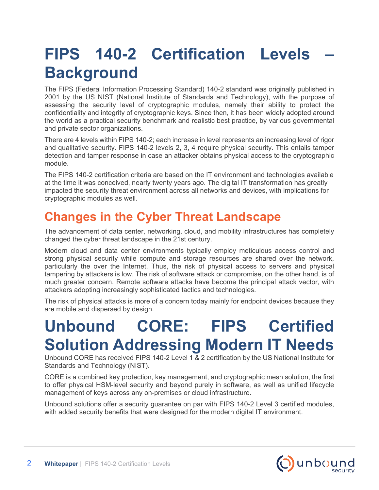# **FIPS 140-2 Certification Levels – Background**

The FIPS (Federal Information Processing Standard) 140-2 standard was originally published in 2001 by the US NIST (National Institute of Standards and Technology), with the purpose of assessing the security level of cryptographic modules, namely their ability to protect the confidentiality and integrity of cryptographic keys. Since then, it has been widely adopted around the world as a practical security benchmark and realistic best practice, by various governmental and private sector organizations.

There are 4 levels within FIPS 140-2; each increase in level represents an increasing level of rigor and qualitative security. FIPS 140-2 levels 2, 3, 4 require physical security. This entails tamper detection and tamper response in case an attacker obtains physical access to the cryptographic module.

The FIPS 140-2 certification criteria are based on the IT environment and technologies available at the time it was conceived, nearly twenty years ago. The digital IT transformation has greatly impacted the security threat environment across all networks and devices, with implications for cryptographic modules as well.

### **Changes in the Cyber Threat Landscape**

The advancement of data center, networking, cloud, and mobility infrastructures has completely changed the cyber threat landscape in the 21st century.

Modern cloud and data center environments typically employ meticulous access control and strong physical security while compute and storage resources are shared over the network, particularly the over the Internet. Thus, the risk of physical access to servers and physical tampering by attackers is low. The risk of software attack or compromise, on the other hand, is of much greater concern. Remote software attacks have become the principal attack vector, with attackers adopting increasingly sophisticated tactics and technologies.

The risk of physical attacks is more of a concern today mainly for endpoint devices because they are mobile and dispersed by design.

## **Unbound CORE: FIPS Certified Solution Addressing Modern IT Needs**

Unbound CORE has received FIPS 140-2 Level 1  $\overline{\&}$  2 certification by the US National Institute for Standards and Technology (NIST).

CORE is a combined key protection, key management, and cryptographic mesh solution, the first to offer physical HSM-level security and beyond purely in software, as well as unified lifecycle management of keys across any on-premises or cloud infrastructure.

Unbound solutions offer a security guarantee on par with FIPS 140-2 Level 3 certified modules, with added security benefits that were designed for the modern digital IT environment.

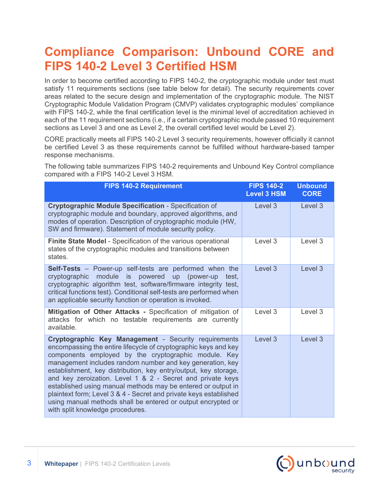### **Compliance Comparison: Unbound CORE and FIPS 140-2 Level 3 Certified HSM**

In order to become certified according to FIPS 140-2, the cryptographic module under test must satisfy 11 requirements sections (see table below for detail). The security requirements cover areas related to the secure design and implementation of the cryptographic module. The NIST Cryptographic Module Validation Program (CMVP) validates cryptographic modules' compliance with FIPS 140-2, while the final certification level is the minimal level of accreditation achieved in each of the 11 requirement sections (i.e., if a certain cryptographic module passed 10 requirement sections as Level 3 and one as Level 2, the overall certified level would be Level 2).

CORE practically meets all FIPS 140-2 Level 3 security requirements, however officially it cannot be certified Level 3 as these requirements cannot be fulfilled without hardware-based tamper response mechanisms.

The following table summarizes FIPS 140-2 requirements and Unbound Key Control compliance compared with a FIPS 140-2 Level 3 HSM.

| <b>FIPS 140-2 Requirement</b>                                                                                                                                                                                                                                                                                                                                                                                                                                                                                                                                                                                          | <b>FIPS 140-2</b><br><b>Level 3 HSM</b> | <b>Unbound</b><br><b>CORE</b> |
|------------------------------------------------------------------------------------------------------------------------------------------------------------------------------------------------------------------------------------------------------------------------------------------------------------------------------------------------------------------------------------------------------------------------------------------------------------------------------------------------------------------------------------------------------------------------------------------------------------------------|-----------------------------------------|-------------------------------|
| <b>Cryptographic Module Specification - Specification of</b><br>cryptographic module and boundary, approved algorithms, and<br>modes of operation. Description of cryptographic module (HW,<br>SW and firmware). Statement of module security policy.                                                                                                                                                                                                                                                                                                                                                                  | Level 3                                 | Level 3                       |
| Finite State Model - Specification of the various operational<br>states of the cryptographic modules and transitions between<br>states.                                                                                                                                                                                                                                                                                                                                                                                                                                                                                | Level 3                                 | Level 3                       |
| <b>Self-Tests</b> – Power-up self-tests are performed when the<br>module<br>is powered up (power-up<br>cryptographic<br>test.<br>cryptographic algorithm test, software/firmware integrity test,<br>critical functions test). Conditional self-tests are performed when<br>an applicable security function or operation is invoked.                                                                                                                                                                                                                                                                                    | Level 3                                 | Level 3                       |
| Mitigation of Other Attacks - Specification of mitigation of<br>attacks for which no testable requirements are currently<br>available.                                                                                                                                                                                                                                                                                                                                                                                                                                                                                 | Level 3                                 | Level 3                       |
| Cryptographic Key Management - Security requirements<br>encompassing the entire lifecycle of cryptographic keys and key<br>components employed by the cryptographic module. Key<br>management includes random number and key generation, key<br>establishment, key distribution, key entry/output, key storage,<br>and key zeroization. Level 1 & 2 - Secret and private keys<br>established using manual methods may be entered or output in<br>plaintext form; Level 3 & 4 - Secret and private keys established<br>using manual methods shall be entered or output encrypted or<br>with split knowledge procedures. | Level 3                                 | Level 3                       |

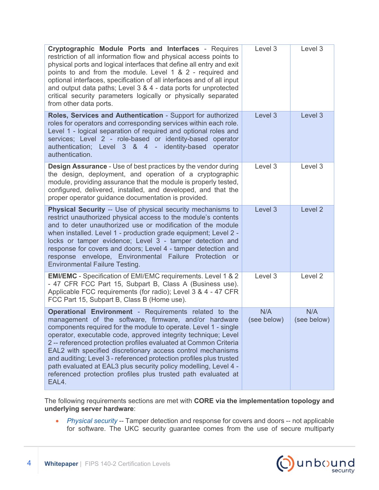| Cryptographic Module Ports and Interfaces - Requires<br>restriction of all information flow and physical access points to<br>physical ports and logical interfaces that define all entry and exit<br>points to and from the module. Level 1 & 2 - required and<br>optional interfaces, specification of all interfaces and of all input<br>and output data paths; Level 3 & 4 - data ports for unprotected<br>critical security parameters logically or physically separated<br>from other data ports.                                                                                                             | Level 3            | Level 3            |
|--------------------------------------------------------------------------------------------------------------------------------------------------------------------------------------------------------------------------------------------------------------------------------------------------------------------------------------------------------------------------------------------------------------------------------------------------------------------------------------------------------------------------------------------------------------------------------------------------------------------|--------------------|--------------------|
| Roles, Services and Authentication - Support for authorized<br>roles for operators and corresponding services within each role.<br>Level 1 - logical separation of required and optional roles and<br>services; Level 2 - role-based or identity-based operator<br>authentication; Level 3 & 4 - identity-based operator<br>authentication.                                                                                                                                                                                                                                                                        | Level 3            | Level 3            |
| <b>Design Assurance - Use of best practices by the vendor during</b><br>the design, deployment, and operation of a cryptographic<br>module, providing assurance that the module is properly tested,<br>configured, delivered, installed, and developed, and that the<br>proper operator guidance documentation is provided.                                                                                                                                                                                                                                                                                        | Level 3            | Level 3            |
| Physical Security -- Use of physical security mechanisms to<br>restrict unauthorized physical access to the module's contents<br>and to deter unauthorized use or modification of the module<br>when installed. Level 1 - production grade equipment; Level 2 -<br>locks or tamper evidence; Level 3 - tamper detection and<br>response for covers and doors; Level 4 - tamper detection and<br>response envelope, Environmental Failure Protection or<br><b>Environmental Failure Testing.</b>                                                                                                                    | Level 3            | Level <sub>2</sub> |
| EMI/EMC - Specification of EMI/EMC requirements. Level 1 & 2<br>- 47 CFR FCC Part 15, Subpart B, Class A (Business use).<br>Applicable FCC requirements (for radio); Level 3 & 4 - 47 CFR<br>FCC Part 15, Subpart B, Class B (Home use).                                                                                                                                                                                                                                                                                                                                                                           | Level 3            | Level <sub>2</sub> |
| <b>Operational Environment - Requirements related to the</b><br>management of the software, firmware, and/or hardware<br>components required for the module to operate. Level 1 - single<br>operator, executable code, approved integrity technique; Level<br>2 -- referenced protection profiles evaluated at Common Criteria<br>EAL2 with specified discretionary access control mechanisms<br>and auditing; Level 3 - referenced protection profiles plus trusted<br>path evaluated at EAL3 plus security policy modelling, Level 4 -<br>referenced protection profiles plus trusted path evaluated at<br>EAL4. | N/A<br>(see below) | N/A<br>(see below) |

The following requirements sections are met with **CORE via the implementation topology and underlying server hardware**:

• *Physical security* -- Tamper detection and response for covers and doors -- not applicable for software. The UKC security guarantee comes from the use of secure multiparty

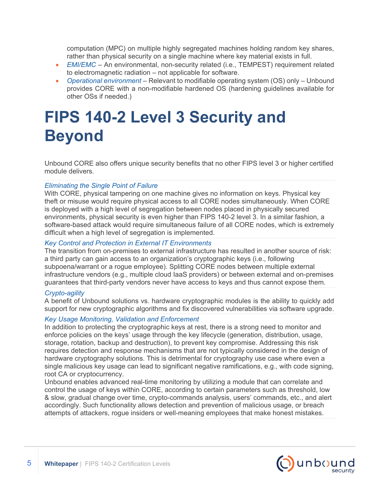computation (MPC) on multiple highly segregated machines holding random key shares, rather than physical security on a single machine where key material exists in full.

- *EMI/EMC* An environmental, non-security related (i.e., TEMPEST) requirement related to electromagnetic radiation – not applicable for software.
- *Operational environment* Relevant to modifiable operating system (OS) only Unbound provides CORE with a non-modifiable hardened OS (hardening guidelines available for other OSs if needed.)

# **FIPS 140-2 Level 3 Security and Beyond**

Unbound CORE also offers unique security benefits that no other FIPS level 3 or higher certified module delivers.

#### *Eliminating the Single Point of Failure*

With CORE, physical tampering on one machine gives no information on keys. Physical key theft or misuse would require physical access to all CORE nodes simultaneously. When CORE is deployed with a high level of segregation between nodes placed in physically secured environments, physical security is even higher than FIPS 140-2 level 3. In a similar fashion, a software-based attack would require simultaneous failure of all CORE nodes, which is extremely difficult when a high level of segregation is implemented.

#### *Key Control and Protection in External IT Environments*

The transition from on-premises to external infrastructure has resulted in another source of risk: a third party can gain access to an organization's cryptographic keys (i.e., following subpoena/warrant or a rogue employee). Splitting CORE nodes between multiple external infrastructure vendors (e.g., multiple cloud IaaS providers) or between external and on-premises guarantees that third-party vendors never have access to keys and thus cannot expose them.

#### *Crypto-agility*

A benefit of Unbound solutions vs. hardware cryptographic modules is the ability to quickly add support for new cryptographic algorithms and fix discovered vulnerabilities via software upgrade.

#### *Key Usage Monitoring, Validation and Enforcement*

In addition to protecting the cryptographic keys at rest, there is a strong need to monitor and enforce policies on the keys' usage through the key lifecycle (generation, distribution, usage, storage, rotation, backup and destruction), to prevent key compromise. Addressing this risk requires detection and response mechanisms that are not typically considered in the design of hardware cryptography solutions. This is detrimental for cryptography use case where even a single malicious key usage can lead to significant negative ramifications, e.g., with code signing, root CA or cryptocurrency.

Unbound enables advanced real-time monitoring by utilizing a module that can correlate and control the usage of keys within CORE, according to certain parameters such as threshold, low & slow, gradual change over time, crypto-commands analysis, users' commands, etc., and alert accordingly. Such functionality allows detection and prevention of malicious usage, or breach attempts of attackers, rogue insiders or well-meaning employees that make honest mistakes.